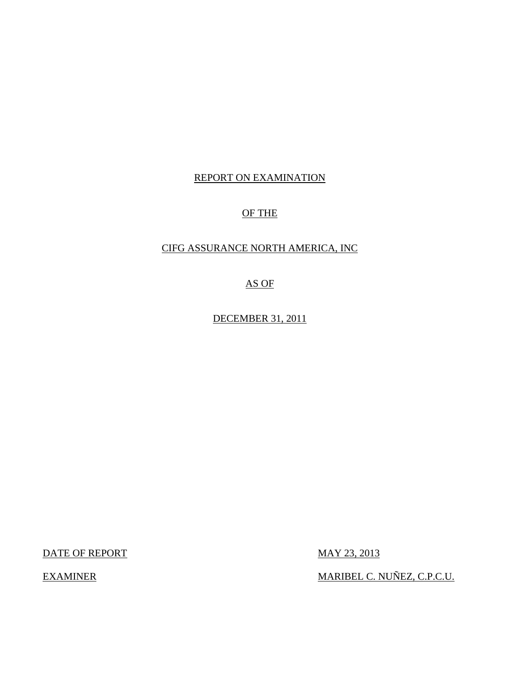# REPORT ON EXAMINATION

# OF THE

## CIFG ASSURANCE NORTH AMERICA, INC

AS OF

DECEMBER 31, 2011

DATE OF REPORT MAY 23, 2013

EXAMINER MARIBEL C. NUÑEZ, C.P.C.U.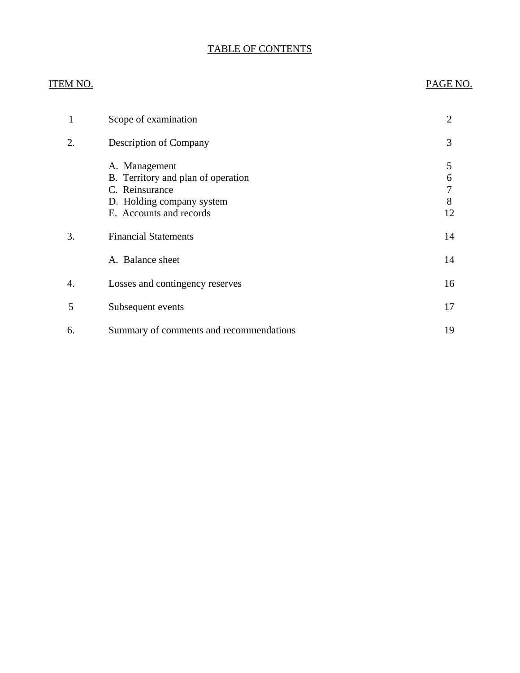# TABLE OF CONTENTS

## ITEM NO. PAGE NO.

| 1  | Scope of examination                                                                                                          | $\overline{2}$         |
|----|-------------------------------------------------------------------------------------------------------------------------------|------------------------|
| 2. | Description of Company                                                                                                        | 3                      |
|    | A. Management<br>B. Territory and plan of operation<br>C. Reinsurance<br>D. Holding company system<br>E. Accounts and records | 5<br>6<br>7<br>8<br>12 |
| 3. | <b>Financial Statements</b>                                                                                                   | 14                     |
|    | A. Balance sheet                                                                                                              | 14                     |
| 4. | Losses and contingency reserves                                                                                               | 16                     |
| 5  | Subsequent events                                                                                                             | 17                     |
| 6. | Summary of comments and recommendations                                                                                       | 19                     |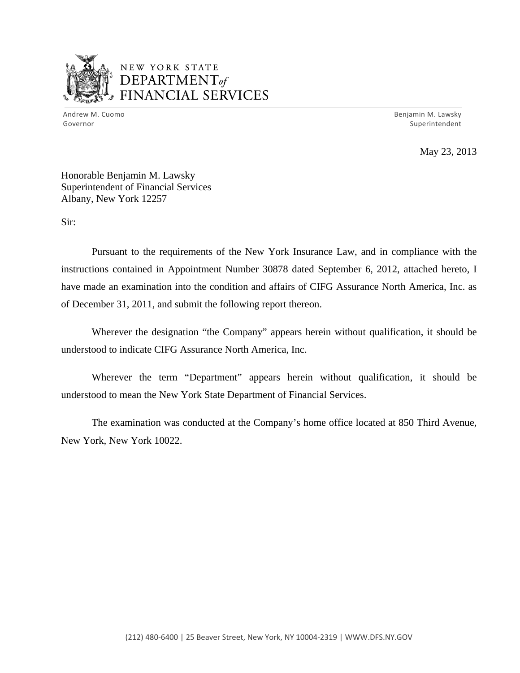

# NEW YORK STATE DEPARTMENTof *~,........,,* FINANCIAL SERVICES

Andrew M. Cuomo **Benjamin M. Lawsky** Governor Superintendent

May 23, 2013

Honorable Benjamin M. Lawsky Superintendent of Financial Services Albany, New York 12257

Sir:

Pursuant to the requirements of the New York Insurance Law, and in compliance with the instructions contained in Appointment Number 30878 dated September 6, 2012, attached hereto, I have made an examination into the condition and affairs of CIFG Assurance North America, Inc. as of December 31, 2011, and submit the following report thereon.

Wherever the designation "the Company" appears herein without qualification, it should be understood to indicate CIFG Assurance North America, Inc.

Wherever the term "Department" appears herein without qualification, it should be understood to mean the New York State Department of Financial Services.

The examination was conducted at the Company's home office located at 850 Third Avenue, New York, New York 10022.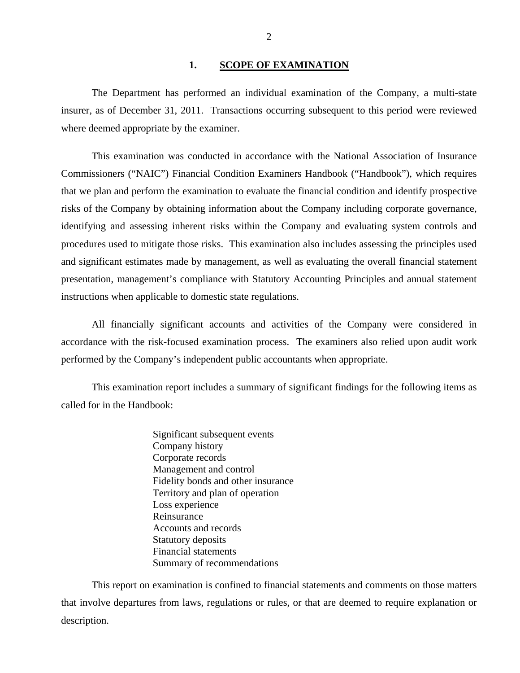#### 1. SCOPE OF EXAMINATION

<span id="page-3-0"></span>The Department has performed an individual examination of the Company*,* a multi-state insurer, as of December 31, 2011. Transactions occurring subsequent to this period were reviewed where deemed appropriate by the examiner.

This examination was conducted in accordance with the National Association of Insurance Commissioners ("NAIC") Financial Condition Examiners Handbook ("Handbook"), which requires that we plan and perform the examination to evaluate the financial condition and identify prospective risks of the Company by obtaining information about the Company including corporate governance, identifying and assessing inherent risks within the Company and evaluating system controls and procedures used to mitigate those risks. This examination also includes assessing the principles used and significant estimates made by management, as well as evaluating the overall financial statement presentation, management's compliance with Statutory Accounting Principles and annual statement instructions when applicable to domestic state regulations.

All financially significant accounts and activities of the Company were considered in accordance with the risk-focused examination process. The examiners also relied upon audit work performed by the Company's independent public accountants when appropriate.

This examination report includes a summary of significant findings for the following items as called for in the Handbook:

> Significant subsequent events Company history Corporate records Management and control Fidelity bonds and other insurance Territory and plan of operation Loss experience Reinsurance Accounts and records Statutory deposits Financial statements Summary of recommendations

This report on examination is confined to financial statements and comments on those matters that involve departures from laws, regulations or rules, or that are deemed to require explanation or description.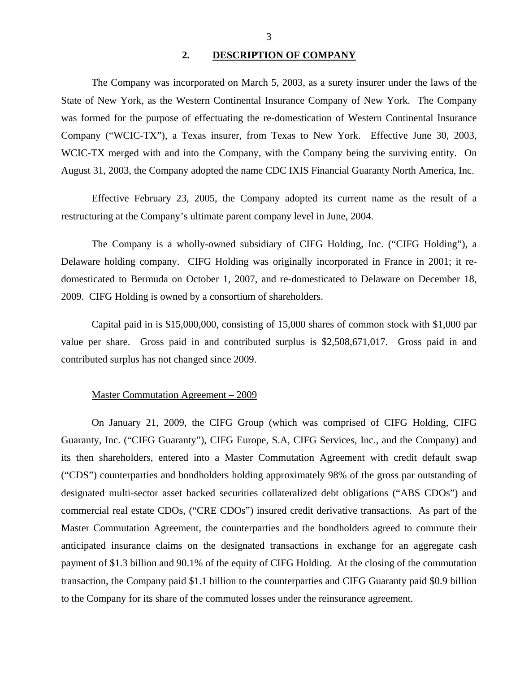#### **2. DESCRIPTION OF COMPANY**

<span id="page-4-0"></span>The Company was incorporated on March 5, 2003, as a surety insurer under the laws of the State of New York, as the Western Continental Insurance Company of New York. The Company was formed for the purpose of effectuating the re-domestication of Western Continental Insurance Company ("WCIC-TX"), a Texas insurer, from Texas to New York. Effective June 30, 2003, WCIC-TX merged with and into the Company, with the Company being the surviving entity. On August 31, 2003, the Company adopted the name CDC IXIS Financial Guaranty North America, Inc.

Effective February 23, 2005, the Company adopted its current name as the result of a restructuring at the Company's ultimate parent company level in June, 2004.

The Company is a wholly-owned subsidiary of CIFG Holding, Inc. ("CIFG Holding"), a Delaware holding company. CIFG Holding was originally incorporated in France in 2001; it redomesticated to Bermuda on October 1, 2007, and re-domesticated to Delaware on December 18, 2009. CIFG Holding is owned by a consortium of shareholders.

Capital paid in is \$15,000,000, consisting of 15,000 shares of common stock with \$1,000 par value per share. Gross paid in and contributed surplus is \$2,508,671,017. Gross paid in and contributed surplus has not changed since 2009.

#### Master Commutation Agreement – 2009

On January 21, 2009, the CIFG Group (which was comprised of CIFG Holding, CIFG Guaranty, Inc. ("CIFG Guaranty"), CIFG Europe, S.A, CIFG Services, Inc., and the Company) and its then shareholders, entered into a Master Commutation Agreement with credit default swap ("CDS") counterparties and bondholders holding approximately 98% of the gross par outstanding of designated multi-sector asset backed securities collateralized debt obligations ("ABS CDOs") and commercial real estate CDOs, ("CRE CDOs") insured credit derivative transactions. As part of the Master Commutation Agreement, the counterparties and the bondholders agreed to commute their anticipated insurance claims on the designated transactions in exchange for an aggregate cash payment of \$1.3 billion and 90.1% of the equity of CIFG Holding. At the closing of the commutation transaction, the Company paid \$1.1 billion to the counterparties and CIFG Guaranty paid \$0.9 billion to the Company for its share of the commuted losses under the reinsurance agreement.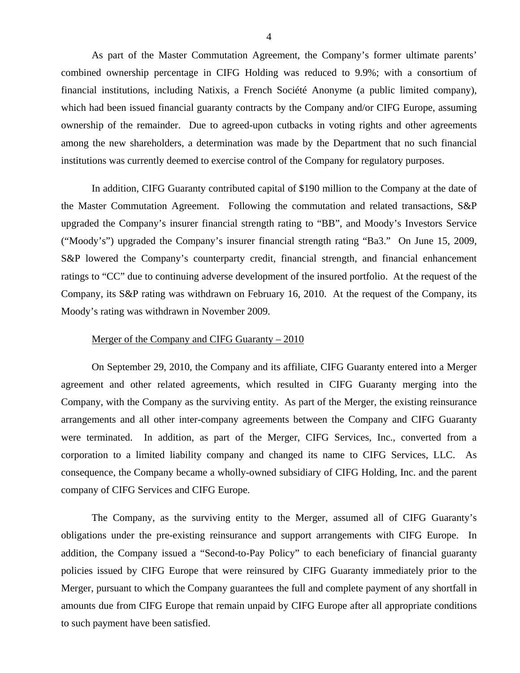As part of the Master Commutation Agreement, the Company's former ultimate parents' combined ownership percentage in CIFG Holding was reduced to 9.9%; with a consortium of financial institutions, including Natixis, a French Société Anonyme (a public limited company), which had been issued financial guaranty contracts by the Company and/or CIFG Europe, assuming ownership of the remainder. Due to agreed-upon cutbacks in voting rights and other agreements among the new shareholders, a determination was made by the Department that no such financial institutions was currently deemed to exercise control of the Company for regulatory purposes.

In addition, CIFG Guaranty contributed capital of \$190 million to the Company at the date of the Master Commutation Agreement. Following the commutation and related transactions, S&P upgraded the Company's insurer financial strength rating to "BB", and Moody's Investors Service ("Moody's") upgraded the Company's insurer financial strength rating "Ba3." On June 15, 2009, S&P lowered the Company's counterparty credit, financial strength, and financial enhancement ratings to "CC" due to continuing adverse development of the insured portfolio. At the request of the Company, its S&P rating was withdrawn on February 16, 2010. At the request of the Company, its Moody's rating was withdrawn in November 2009.

#### Merger of the Company and CIFG Guaranty – 2010

On September 29, 2010, the Company and its affiliate, CIFG Guaranty entered into a Merger agreement and other related agreements, which resulted in CIFG Guaranty merging into the Company, with the Company as the surviving entity. As part of the Merger, the existing reinsurance arrangements and all other inter-company agreements between the Company and CIFG Guaranty were terminated. In addition, as part of the Merger, CIFG Services, Inc., converted from a corporation to a limited liability company and changed its name to CIFG Services, LLC. As consequence, the Company became a wholly-owned subsidiary of CIFG Holding, Inc. and the parent company of CIFG Services and CIFG Europe.

The Company, as the surviving entity to the Merger, assumed all of CIFG Guaranty's obligations under the pre-existing reinsurance and support arrangements with CIFG Europe. In addition, the Company issued a "Second-to-Pay Policy" to each beneficiary of financial guaranty policies issued by CIFG Europe that were reinsured by CIFG Guaranty immediately prior to the Merger, pursuant to which the Company guarantees the full and complete payment of any shortfall in amounts due from CIFG Europe that remain unpaid by CIFG Europe after all appropriate conditions to such payment have been satisfied.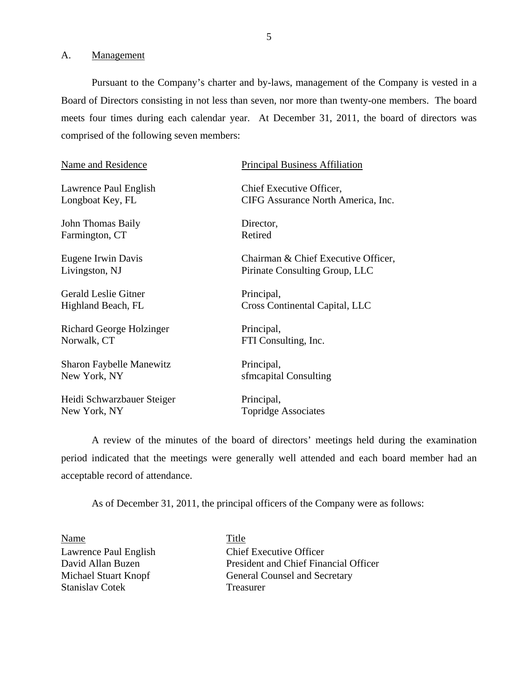<span id="page-6-0"></span>A. Management

Pursuant to the Company's charter and by-laws, management of the Company is vested in a Board of Directors consisting in not less than seven, nor more than twenty-one members. The board meets four times during each calendar year. At December 31, 2011, the board of directors was comprised of the following seven members:

Lawrence Paul English Chief Executive Officer,

John Thomas Baily Director, Farmington, CT Retired

Gerald Leslie Gitner Principal,

Richard George Holzinger Principal, Norwalk, CT FTI Consulting, Inc.

Sharon Faybelle Manewitz Principal, New York, NY sfmcapital Consulting

Heidi Schwarzbauer Steiger Principal, New York, NY Topridge Associates

### Name and Residence Principal Business Affiliation

Longboat Key, FL CIFG Assurance North America, Inc.

Eugene Irwin Davis Chairman & Chief Executive Officer, Livingston, NJ Pirinate Consulting Group, LLC

Highland Beach, FL Cross Continental Capital, LLC

A review of the minutes of the board of directors' meetings held during the examination period indicated that the meetings were generally well attended and each board member had an acceptable record of attendance.

As of December 31, 2011, the principal officers of the Company were as follows:

Name Title Stanislav Cotek Treasurer

Lawrence Paul English Chief Executive Officer David Allan Buzen President and Chief Financial Officer Michael Stuart Knopf General Counsel and Secretary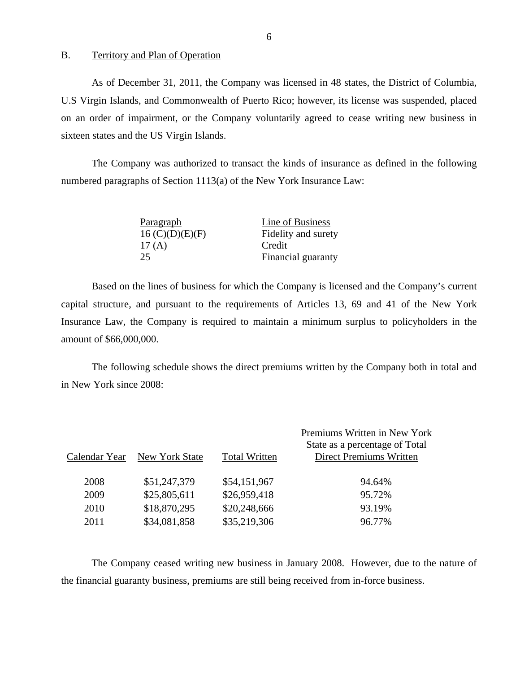#### B. Territory and Plan of Operation

As of December 31, 2011, the Company was licensed in 48 states, the District of Columbia, U.S Virgin Islands, and Commonwealth of Puerto Rico; however, its license was suspended, placed on an order of impairment, or the Company voluntarily agreed to cease writing new business in sixteen states and the US Virgin Islands.

The Company was authorized to transact the kinds of insurance as defined in the following numbered paragraphs of Section 1113(a) of the New York Insurance Law:

| Paragraph       | Line of Business    |
|-----------------|---------------------|
| 16 (C)(D)(E)(F) | Fidelity and surety |
| 17 $(A)$        | Credit              |
| 25              | Financial guaranty  |

Based on the lines of business for which the Company is licensed and the Company's current capital structure, and pursuant to the requirements of Articles 13, 69 and 41 of the New York Insurance Law, the Company is required to maintain a minimum surplus to policyholders in the amount of \$66,000,000.

The following schedule shows the direct premiums written by the Company both in total and in New York since 2008:

| Calendar Year | New York State | <b>Total Written</b> | Premiums Written in New York<br>State as a percentage of Total<br><b>Direct Premiums Written</b> |
|---------------|----------------|----------------------|--------------------------------------------------------------------------------------------------|
| 2008          | \$51,247,379   | \$54,151,967         | 94.64%                                                                                           |
| 2009          | \$25,805,611   | \$26,959,418         | 95.72%                                                                                           |
| 2010          | \$18,870,295   | \$20,248,666         | 93.19%                                                                                           |
| 2011          | \$34,081,858   | \$35,219,306         | 96.77%                                                                                           |

The Company ceased writing new business in January 2008. However, due to the nature of the financial guaranty business, premiums are still being received from in-force business.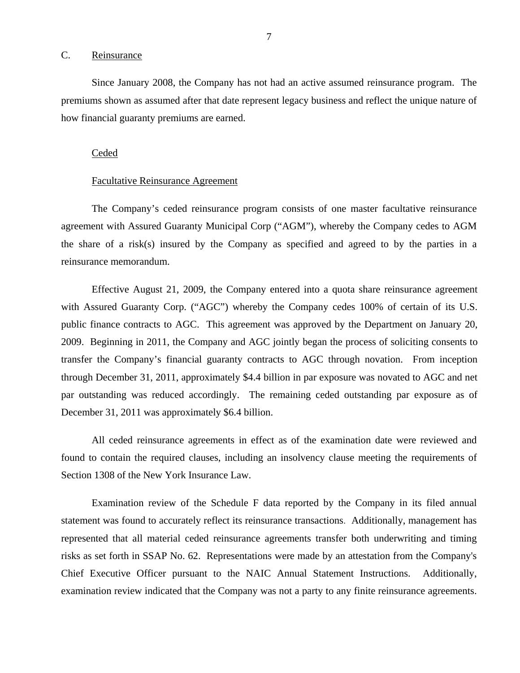#### <span id="page-8-0"></span>C. Reinsurance

Since January 2008, the Company has not had an active assumed reinsurance program. The premiums shown as assumed after that date represent legacy business and reflect the unique nature of how financial guaranty premiums are earned.

#### Ceded

#### Facultative Reinsurance Agreement

The Company's ceded reinsurance program consists of one master facultative reinsurance agreement with Assured Guaranty Municipal Corp ("AGM"), whereby the Company cedes to AGM the share of a risk(s) insured by the Company as specified and agreed to by the parties in a reinsurance memorandum.

Effective August 21, 2009, the Company entered into a quota share reinsurance agreement with Assured Guaranty Corp. ("AGC") whereby the Company cedes 100% of certain of its U.S. public finance contracts to AGC. This agreement was approved by the Department on January 20, 2009. Beginning in 2011, the Company and AGC jointly began the process of soliciting consents to transfer the Company's financial guaranty contracts to AGC through novation. From inception through December 31, 2011, approximately \$4.4 billion in par exposure was novated to AGC and net par outstanding was reduced accordingly. The remaining ceded outstanding par exposure as of December 31, 2011 was approximately \$6.4 billion.

All ceded reinsurance agreements in effect as of the examination date were reviewed and found to contain the required clauses, including an insolvency clause meeting the requirements of Section 1308 of the New York Insurance Law.

Examination review of the Schedule F data reported by the Company in its filed annual statement was found to accurately reflect its reinsurance transactions. Additionally, management has represented that all material ceded reinsurance agreements transfer both underwriting and timing risks as set forth in SSAP No. 62. Representations were made by an attestation from the Company's Chief Executive Officer pursuant to the NAIC Annual Statement Instructions. Additionally, examination review indicated that the Company was not a party to any finite reinsurance agreements.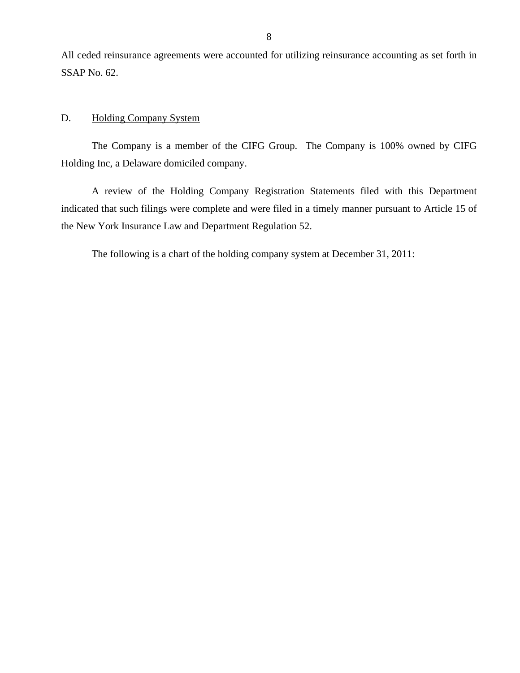<span id="page-9-0"></span>All ceded reinsurance agreements were accounted for utilizing reinsurance accounting as set forth in SSAP No. 62.

# D. Holding Company System

The Company is a member of the CIFG Group. The Company is 100% owned by CIFG Holding Inc, a Delaware domiciled company.

A review of the Holding Company Registration Statements filed with this Department indicated that such filings were complete and were filed in a timely manner pursuant to Article 15 of the New York Insurance Law and Department Regulation 52.

The following is a chart of the holding company system at December 31, 2011: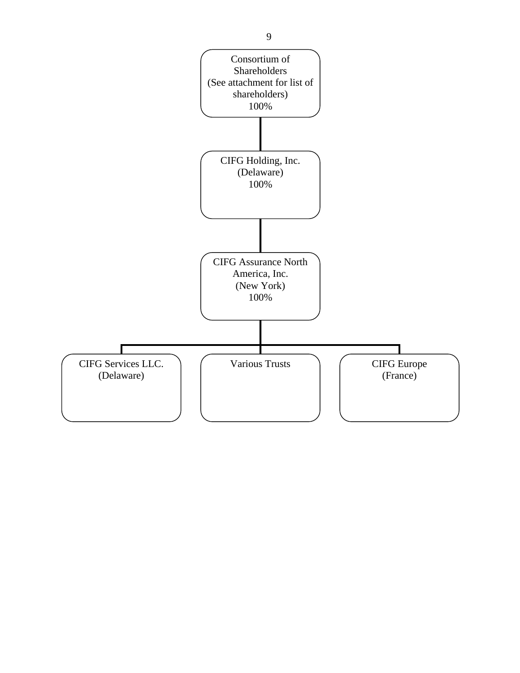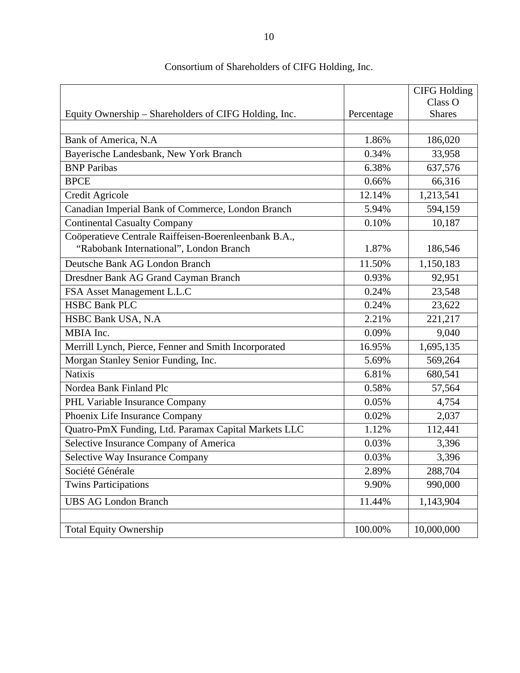|                                                       |            | <b>CIFG Holding</b> |
|-------------------------------------------------------|------------|---------------------|
|                                                       |            | Class O             |
| Equity Ownership – Shareholders of CIFG Holding, Inc. | Percentage | <b>Shares</b>       |
|                                                       |            |                     |
| Bank of America, N.A.                                 | 1.86%      | 186,020             |
| Bayerische Landesbank, New York Branch                | 0.34%      | 33,958              |
| <b>BNP</b> Paribas                                    | 6.38%      | 637,576             |
| <b>BPCE</b>                                           | 0.66%      | 66,316              |
| Credit Agricole                                       | 12.14%     | 1,213,541           |
| Canadian Imperial Bank of Commerce, London Branch     | 5.94%      | 594,159             |
| <b>Continental Casualty Company</b>                   | 0.10%      | 10,187              |
| Coöperatieve Centrale Raiffeisen-Boerenleenbank B.A., |            |                     |
| "Rabobank International", London Branch               | 1.87%      | 186,546             |
| Deutsche Bank AG London Branch                        | 11.50%     | 1,150,183           |
| Dresdner Bank AG Grand Cayman Branch                  | 0.93%      | 92,951              |
| FSA Asset Management L.L.C                            | 0.24%      | 23,548              |
| <b>HSBC Bank PLC</b>                                  | 0.24%      | 23,622              |
| HSBC Bank USA, N.A.                                   | 2.21%      | 221,217             |
| MBIA Inc.                                             | 0.09%      | 9,040               |
| Merrill Lynch, Pierce, Fenner and Smith Incorporated  | 16.95%     | 1,695,135           |
| Morgan Stanley Senior Funding, Inc.                   | 5.69%      | 569,264             |
| <b>Natixis</b>                                        | 6.81%      | 680,541             |
| Nordea Bank Finland Plc                               | 0.58%      | 57,564              |
| PHL Variable Insurance Company                        | 0.05%      | 4,754               |
| Phoenix Life Insurance Company                        | 0.02%      | 2,037               |
| Quatro-PmX Funding, Ltd. Paramax Capital Markets LLC  | 1.12%      | 112,441             |
| Selective Insurance Company of America                | 0.03%      | 3,396               |
| Selective Way Insurance Company                       | 0.03%      | 3,396               |
| Société Générale                                      | 2.89%      | 288,704             |
| <b>Twins Participations</b>                           | 9.90%      | 990,000             |
| <b>UBS AG London Branch</b>                           | 11.44%     | 1,143,904           |
|                                                       |            |                     |
| <b>Total Equity Ownership</b>                         | 100.00%    | 10,000,000          |

# Consortium of Shareholders of CIFG Holding, Inc.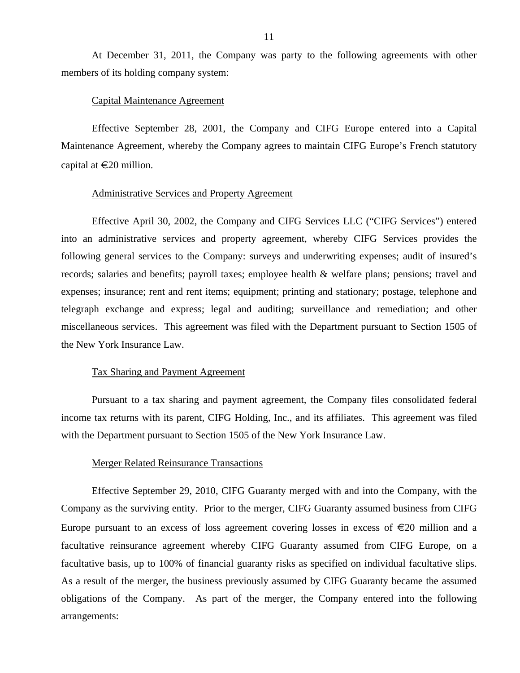At December 31, 2011, the Company was party to the following agreements with other members of its holding company system:

#### Capital Maintenance Agreement

Effective September 28, 2001, the Company and CIFG Europe entered into a Capital Maintenance Agreement, whereby the Company agrees to maintain CIFG Europe's French statutory capital at  $\in 20$  million.

#### Administrative Services and Property Agreement

Effective April 30, 2002, the Company and CIFG Services LLC ("CIFG Services") entered into an administrative services and property agreement, whereby CIFG Services provides the following general services to the Company: surveys and underwriting expenses; audit of insured's records; salaries and benefits; payroll taxes; employee health & welfare plans; pensions; travel and expenses; insurance; rent and rent items; equipment; printing and stationary; postage, telephone and telegraph exchange and express; legal and auditing; surveillance and remediation; and other miscellaneous services. This agreement was filed with the Department pursuant to Section 1505 of the New York Insurance Law.

#### Tax Sharing and Payment Agreement

Pursuant to a tax sharing and payment agreement, the Company files consolidated federal income tax returns with its parent, CIFG Holding, Inc., and its affiliates. This agreement was filed with the Department pursuant to Section 1505 of the New York Insurance Law.

#### Merger Related Reinsurance Transactions

Effective September 29, 2010, CIFG Guaranty merged with and into the Company, with the Company as the surviving entity. Prior to the merger, CIFG Guaranty assumed business from CIFG Europe pursuant to an excess of loss agreement covering losses in excess of  $\epsilon$ 20 million and a facultative reinsurance agreement whereby CIFG Guaranty assumed from CIFG Europe, on a facultative basis, up to 100% of financial guaranty risks as specified on individual facultative slips. As a result of the merger, the business previously assumed by CIFG Guaranty became the assumed obligations of the Company. As part of the merger, the Company entered into the following arrangements: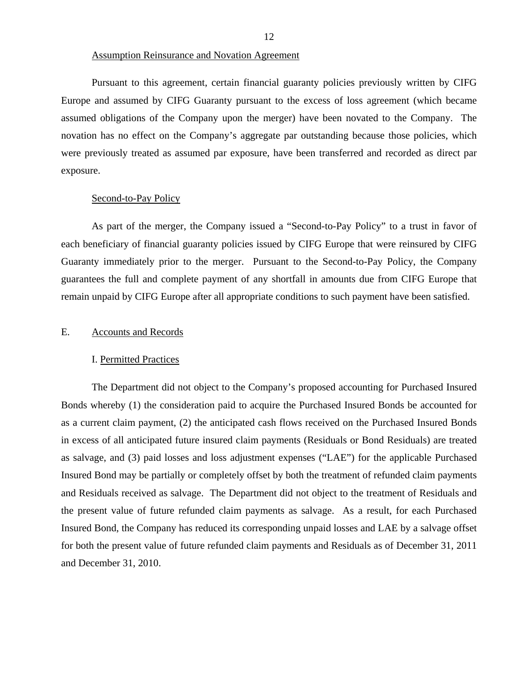<span id="page-13-0"></span>Pursuant to this agreement, certain financial guaranty policies previously written by CIFG Europe and assumed by CIFG Guaranty pursuant to the excess of loss agreement (which became assumed obligations of the Company upon the merger) have been novated to the Company. The novation has no effect on the Company's aggregate par outstanding because those policies, which were previously treated as assumed par exposure, have been transferred and recorded as direct par exposure.

#### Second-to-Pay Policy

As part of the merger, the Company issued a "Second-to-Pay Policy" to a trust in favor of each beneficiary of financial guaranty policies issued by CIFG Europe that were reinsured by CIFG Guaranty immediately prior to the merger. Pursuant to the Second-to-Pay Policy, the Company guarantees the full and complete payment of any shortfall in amounts due from CIFG Europe that remain unpaid by CIFG Europe after all appropriate conditions to such payment have been satisfied.

### E. Accounts and Records

#### I. Permitted Practices

The Department did not object to the Company's proposed accounting for Purchased Insured Bonds whereby (1) the consideration paid to acquire the Purchased Insured Bonds be accounted for as a current claim payment, (2) the anticipated cash flows received on the Purchased Insured Bonds in excess of all anticipated future insured claim payments (Residuals or Bond Residuals) are treated as salvage, and (3) paid losses and loss adjustment expenses ("LAE") for the applicable Purchased Insured Bond may be partially or completely offset by both the treatment of refunded claim payments and Residuals received as salvage. The Department did not object to the treatment of Residuals and the present value of future refunded claim payments as salvage. As a result, for each Purchased Insured Bond, the Company has reduced its corresponding unpaid losses and LAE by a salvage offset for both the present value of future refunded claim payments and Residuals as of December 31, 2011 and December 31, 2010.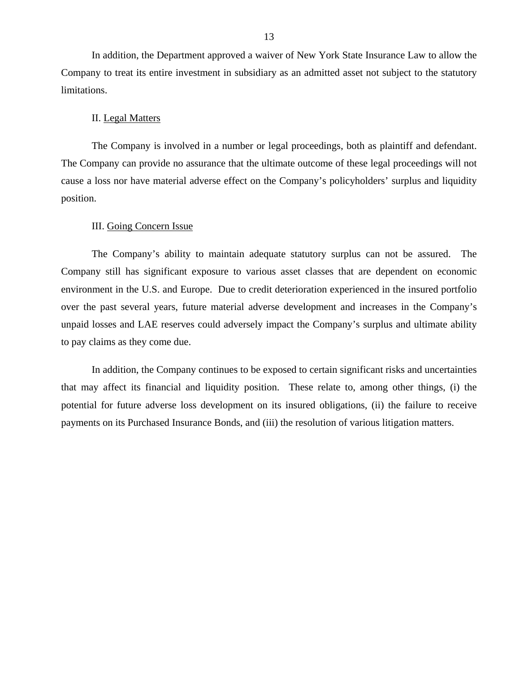In addition, the Department approved a waiver of New York State Insurance Law to allow the Company to treat its entire investment in subsidiary as an admitted asset not subject to the statutory limitations.

### II. Legal Matters

The Company is involved in a number or legal proceedings, both as plaintiff and defendant. The Company can provide no assurance that the ultimate outcome of these legal proceedings will not cause a loss nor have material adverse effect on the Company's policyholders' surplus and liquidity position.

#### III. Going Concern Issue

The Company's ability to maintain adequate statutory surplus can not be assured. The Company still has significant exposure to various asset classes that are dependent on economic environment in the U.S. and Europe. Due to credit deterioration experienced in the insured portfolio over the past several years, future material adverse development and increases in the Company's unpaid losses and LAE reserves could adversely impact the Company's surplus and ultimate ability to pay claims as they come due.

In addition, the Company continues to be exposed to certain significant risks and uncertainties that may affect its financial and liquidity position. These relate to, among other things, (i) the potential for future adverse loss development on its insured obligations, (ii) the failure to receive payments on its Purchased Insurance Bonds, and (iii) the resolution of various litigation matters.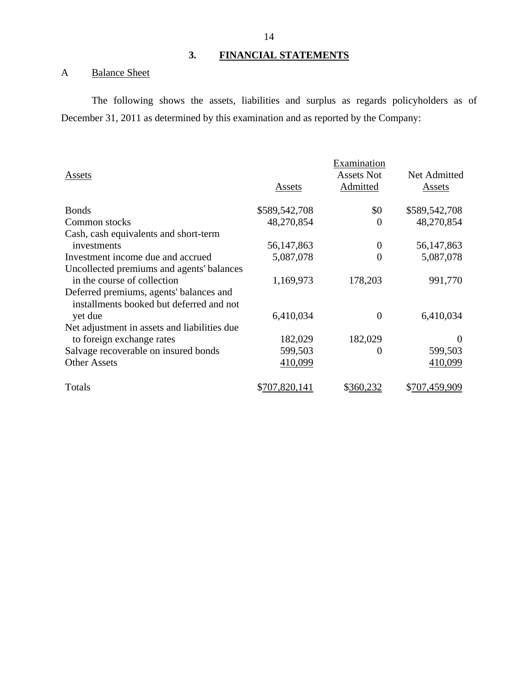# **3. FINANCIAL STATEMENTS**

# A Balance Sheet

The following shows the assets, liabilities and surplus as regards policyholders as of December 31, 2011 as determined by this examination and as reported by the Company:

|                                                                                     |               | Examination       |               |
|-------------------------------------------------------------------------------------|---------------|-------------------|---------------|
| Assets                                                                              |               | <b>Assets Not</b> | Net Admitted  |
|                                                                                     | Assets        | Admitted          | Assets        |
| <b>Bonds</b>                                                                        | \$589,542,708 | \$0               | \$589,542,708 |
| Common stocks                                                                       | 48,270,854    | 0                 | 48,270,854    |
| Cash, cash equivalents and short-term                                               |               |                   |               |
| investments                                                                         | 56, 147, 863  | $\boldsymbol{0}$  | 56, 147, 863  |
| Investment income due and accrued                                                   | 5,087,078     | $\overline{0}$    | 5,087,078     |
| Uncollected premiums and agents' balances                                           |               |                   |               |
| in the course of collection                                                         | 1,169,973     | 178,203           | 991,770       |
| Deferred premiums, agents' balances and<br>installments booked but deferred and not |               |                   |               |
| yet due                                                                             | 6,410,034     | $\overline{0}$    | 6,410,034     |
| Net adjustment in assets and liabilities due                                        |               |                   |               |
| to foreign exchange rates                                                           | 182,029       | 182,029           | $\theta$      |
| Salvage recoverable on insured bonds                                                | 599,503       | $\theta$          | 599,503       |
| <b>Other Assets</b>                                                                 | 410,099       |                   | 410,099       |
| Totals                                                                              | \$707,820,141 | \$360,232         | \$707,459,909 |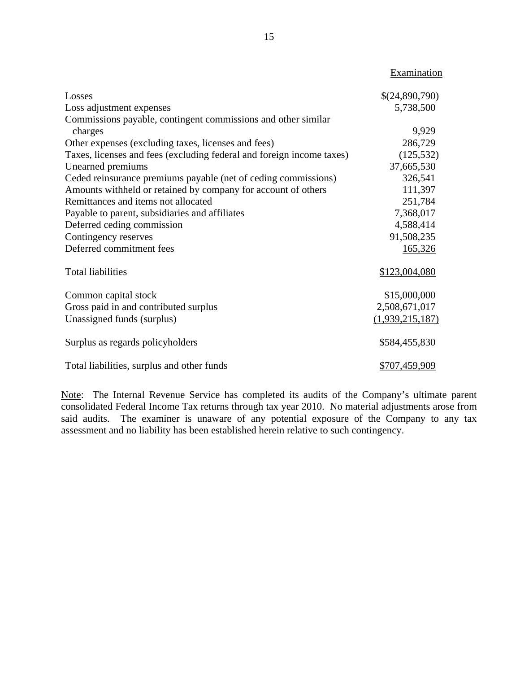|                                                                       | Examination     |
|-----------------------------------------------------------------------|-----------------|
| Losses                                                                | \$(24,890,790)  |
| Loss adjustment expenses                                              | 5,738,500       |
| Commissions payable, contingent commissions and other similar         |                 |
| charges                                                               | 9,929           |
| Other expenses (excluding taxes, licenses and fees)                   | 286,729         |
| Taxes, licenses and fees (excluding federal and foreign income taxes) | (125, 532)      |
| Unearned premiums                                                     | 37,665,530      |
| Ceded reinsurance premiums payable (net of ceding commissions)        | 326,541         |
| Amounts withheld or retained by company for account of others         | 111,397         |
| Remittances and items not allocated                                   | 251,784         |
| Payable to parent, subsidiaries and affiliates                        | 7,368,017       |
| Deferred ceding commission                                            | 4,588,414       |
| Contingency reserves                                                  | 91,508,235      |
| Deferred commitment fees                                              | 165,326         |
| <b>Total liabilities</b>                                              | \$123,004,080   |
| Common capital stock                                                  | \$15,000,000    |
| Gross paid in and contributed surplus                                 | 2,508,671,017   |
| Unassigned funds (surplus)                                            | (1,939,215,187) |
| Surplus as regards policyholders                                      | \$584,455,830   |
| Total liabilities, surplus and other funds                            | \$707,459,909   |

Note: The Internal Revenue Service has completed its audits of the Company's ultimate parent consolidated Federal Income Tax returns through tax year 2010. No material adjustments arose from said audits. The examiner is unaware of any potential exposure of the Company to any tax assessment and no liability has been established herein relative to such contingency.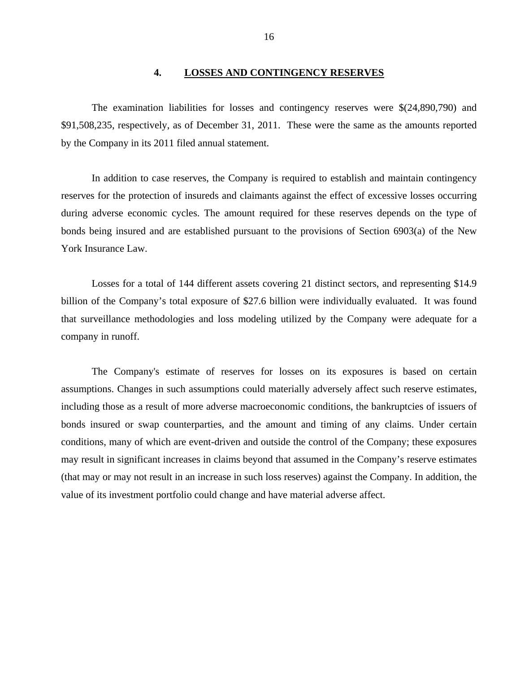#### **4. LOSSES AND CONTINGENCY RESERVES**

<span id="page-17-0"></span>The examination liabilities for losses and contingency reserves were \$(24,890,790) and \$91,508,235, respectively, as of December 31, 2011. These were the same as the amounts reported by the Company in its 2011 filed annual statement.

In addition to case reserves, the Company is required to establish and maintain contingency reserves for the protection of insureds and claimants against the effect of excessive losses occurring during adverse economic cycles. The amount required for these reserves depends on the type of bonds being insured and are established pursuant to the provisions of Section 6903(a) of the New York Insurance Law.

Losses for a total of 144 different assets covering 21 distinct sectors, and representing \$14.9 billion of the Company's total exposure of \$27.6 billion were individually evaluated. It was found that surveillance methodologies and loss modeling utilized by the Company were adequate for a company in runoff.

The Company's estimate of reserves for losses on its exposures is based on certain assumptions. Changes in such assumptions could materially adversely affect such reserve estimates, including those as a result of more adverse macroeconomic conditions, the bankruptcies of issuers of bonds insured or swap counterparties, and the amount and timing of any claims. Under certain conditions, many of which are event-driven and outside the control of the Company; these exposures may result in significant increases in claims beyond that assumed in the Company's reserve estimates (that may or may not result in an increase in such loss reserves) against the Company. In addition, the value of its investment portfolio could change and have material adverse affect.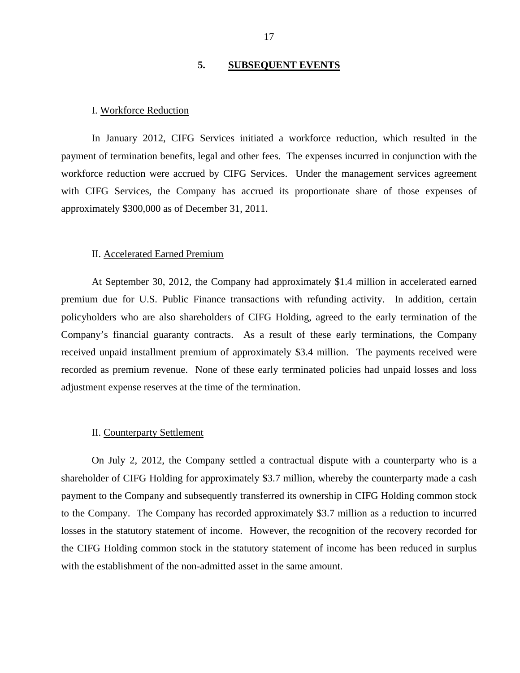## **5. SUBSEQUENT EVENTS**

#### <span id="page-18-0"></span>I. Workforce Reduction

In January 2012, CIFG Services initiated a workforce reduction, which resulted in the payment of termination benefits, legal and other fees. The expenses incurred in conjunction with the workforce reduction were accrued by CIFG Services. Under the management services agreement with CIFG Services, the Company has accrued its proportionate share of those expenses of approximately \$300,000 as of December 31, 2011.

#### II. Accelerated Earned Premium

At September 30, 2012, the Company had approximately \$1.4 million in accelerated earned premium due for U.S. Public Finance transactions with refunding activity. In addition, certain policyholders who are also shareholders of CIFG Holding, agreed to the early termination of the Company's financial guaranty contracts. As a result of these early terminations, the Company received unpaid installment premium of approximately \$3.4 million. The payments received were recorded as premium revenue. None of these early terminated policies had unpaid losses and loss adjustment expense reserves at the time of the termination.

#### II. Counterparty Settlement

On July 2, 2012, the Company settled a contractual dispute with a counterparty who is a shareholder of CIFG Holding for approximately \$3.7 million, whereby the counterparty made a cash payment to the Company and subsequently transferred its ownership in CIFG Holding common stock to the Company. The Company has recorded approximately \$3.7 million as a reduction to incurred losses in the statutory statement of income. However, the recognition of the recovery recorded for the CIFG Holding common stock in the statutory statement of income has been reduced in surplus with the establishment of the non-admitted asset in the same amount.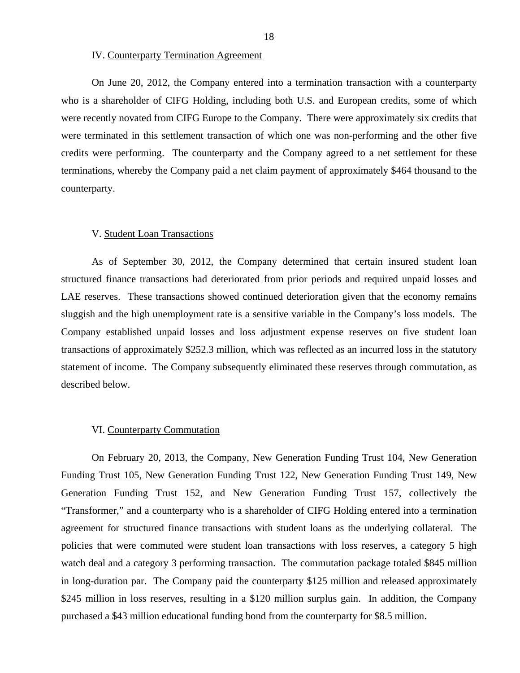IV. Counterparty Termination Agreement

On June 20, 2012, the Company entered into a termination transaction with a counterparty who is a shareholder of CIFG Holding, including both U.S. and European credits, some of which were recently novated from CIFG Europe to the Company. There were approximately six credits that were terminated in this settlement transaction of which one was non-performing and the other five credits were performing. The counterparty and the Company agreed to a net settlement for these terminations, whereby the Company paid a net claim payment of approximately \$464 thousand to the counterparty.

#### V. Student Loan Transactions

As of September 30, 2012, the Company determined that certain insured student loan structured finance transactions had deteriorated from prior periods and required unpaid losses and LAE reserves. These transactions showed continued deterioration given that the economy remains sluggish and the high unemployment rate is a sensitive variable in the Company's loss models. The Company established unpaid losses and loss adjustment expense reserves on five student loan transactions of approximately \$252.3 million, which was reflected as an incurred loss in the statutory statement of income. The Company subsequently eliminated these reserves through commutation, as described below.

#### VI. Counterparty Commutation

On February 20, 2013, the Company, New Generation Funding Trust 104, New Generation Funding Trust 105, New Generation Funding Trust 122, New Generation Funding Trust 149, New Generation Funding Trust 152, and New Generation Funding Trust 157, collectively the "Transformer," and a counterparty who is a shareholder of CIFG Holding entered into a termination agreement for structured finance transactions with student loans as the underlying collateral. The policies that were commuted were student loan transactions with loss reserves, a category 5 high watch deal and a category 3 performing transaction. The commutation package totaled \$845 million in long-duration par. The Company paid the counterparty \$125 million and released approximately \$245 million in loss reserves, resulting in a \$120 million surplus gain. In addition, the Company purchased a \$43 million educational funding bond from the counterparty for \$8.5 million.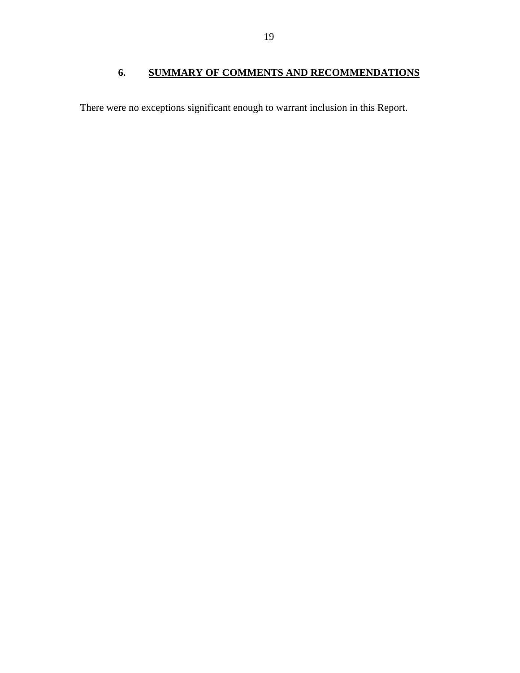<span id="page-20-0"></span>There were no exceptions significant enough to warrant inclusion in this Report.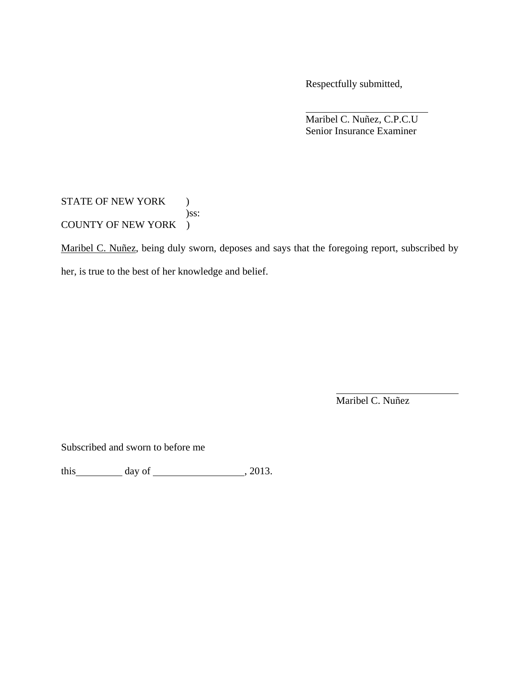Respectfully submitted,

 Maribel C. Nuñez, C.P.C.U Senior Insurance Examiner

STATE OF NEW YORK ) )ss: COUNTY OF NEW YORK )

Maribel C. Nuñez, being duly sworn, deposes and says that the foregoing report, subscribed by her, is true to the best of her knowledge and belief.

Maribel C. Nuñez

Subscribed and sworn to before me

this  $\qquad \qquad$  day of  $\qquad \qquad$  , 2013.